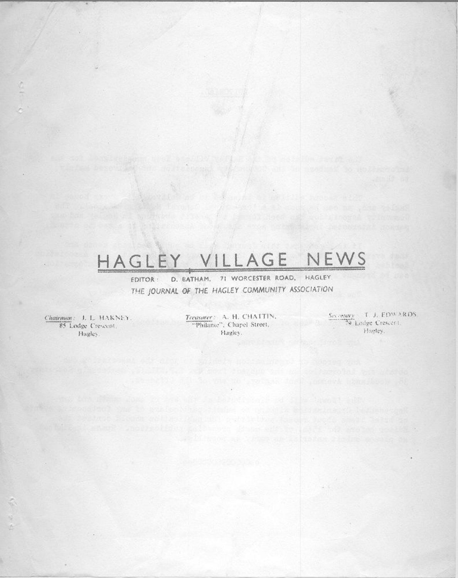# HAGLEY VILLAGE NEWS

D. BATHAM, 71 WORCESTER ROAD, HAGLEY EDITOR: THE JOURNAL OF THE HAGLEY COMMUNITY ASSOCIATION

Chairman: J. L. HAKNEY. 85 Lodge Crescent. Hagley.

Treasurer: A. H. CHATTIN, "Philante", Chapel Street, Hagley.

2001 Britannia (Altre Sales de California de California de California de California de California de

Seccetary - T. J. EDWARDS. O Lodge Crescent. Hagley.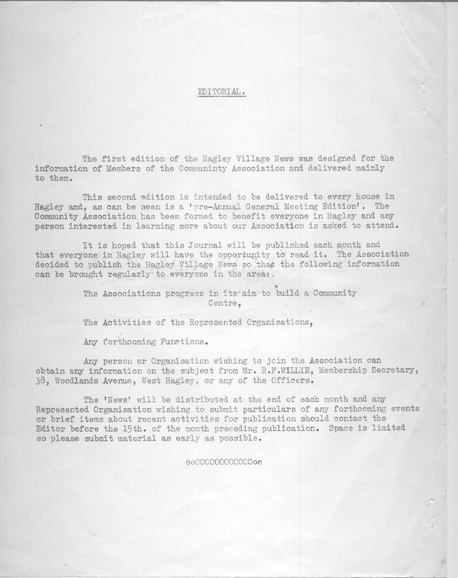# EDITORIAL.

The first edition of the Hagley Village News was designed for the information of Members of the Communinty Association and delivered mainly to them.

This second edition is intended to be delivered to every house in Hagley and, as can be seen is a 'pre-Annual General Meeting Edition'. The Community Association has been formed to benefit everyone in Hagley and any person interested in learning more about our Association is asked to attend.

It is hoped that this Journal will be published each month and that everyone in Hagley will have the opportunity to read it. The Association decided to publish the Hagley Village News so that the following information can be brought regularly to everyone in the area:.

> The Associations progress in its aim to build a Community Centre.

The Activities of the Represented Organisations,

Any forthcoming Functions.

Any person or Organisation wishing to join the Association can obtain any information on the subject from Mr. R.F.WILLIE, Membership Secretary, 38, Woodlands Avenue, West Hagley, or any of the Officers.

The 'News' will be distributed at the end of each month and any Represented Organisation wishing to submit particulars of any forthcoming events or brief items about recent activities for publication should contact the Editor before the 15th. of the month preceding publication. Space is limited so please submit material as early as possible.

oo00000000000oo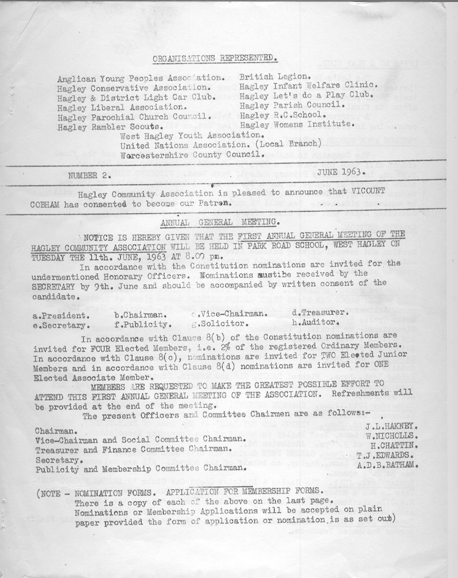# ORGANISATIONS REPRESENTED.

Anglican Young Peoples Association. British Legion. Hagley Conservative Association. Hagley Infant Welfare Clinic. Hagley & District Light Car Club. Hagley Let's do a Play Club. Hagley Liberal Association. Hagley Parochial Church Council. Hagley R.C.School. Hagley Rambler Scouts.

Hagley Parish Council. Hagley Womens Institute.

West Hagley Youth Association.

United Nations Association. (Local Branch)

Worcestershire County Council.

NUMBER 2.

**JUNE 1963.** 

Hagley Community Association is pleased to announce that VICOUNT COBHAM has consented to become our Patron.

ANNUAL GENERAL MEETING.

NOTICE IS HEREBY GIVEN THAT THE FIRST ANNUAL GENERAL MEETING OF THE HAGLEY COMMUNITY ASSOCIATION WILL BE HELD IN PARK ROAD SCHOOL, WEST HAGLEY ON TUESDAY THE 11th. JUNE, 1963 AT 8.00 pm.

In accordance with the Constitution nominations are invited for the undermentioned Honorary Officers. Nominations mustibe received by the SECRETARY by 9th. June and should be accompanied by written consent of the candidate.

| a.President. | b.Chairman.  | Wice-Chairman. | d.Treasurer. |
|--------------|--------------|----------------|--------------|
|              |              |                |              |
| e.Secretary. | f.Publicity. | .Solicitor.    | h.Auditor.   |

In accordance with Clause 8(b) of the Constitution nominations are invited for FOUR Elected Members, i.e. 2% of the registered Ordinary Members. In accordance with Clause  $8(c)$ , nominations are invited for TWO Elected Junior Members and in accordance with Clause 8(d) nominations are invited for ONE Elected Associate Member.

MEMBERS ARE REQUESTED TO MAKE THE GREATEST POSSIBLE EFFORT TO ATTEND THIS FIRST ANNUAL GENERAL MEETING OF THE ASSOCIATION. Refreshments will be provided at the end of the meeting.

The present Officers and Committee Chairmen are as follows :-

Chairman.

Vice-Chairman and Social Committee Chairman. Treasurer and Finance Committee Chairman. Secretary. Publicity and Membership Committee Chairman.

J.L.HAKNEY. W.NICHOLLS. H.CHATTIN. T.J.EDWARDS. A.D.B.BATHAM.

(NOTE - NOMINATION FORMS. APPLICATION FOR MEMBERSHIP FORMS.

There is a copy of each of the above on the last page. Nominations or Membership Applications will be accepted on plain paper provided the form of application or nomination is as set out)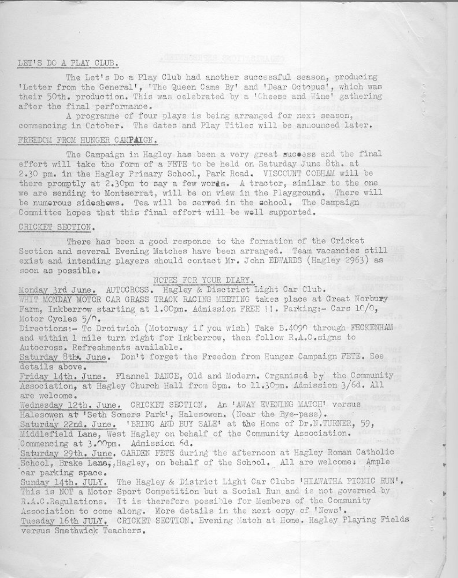## LET'S DO A PLAY CLUB.

The Let's Do a Play Club had another successful season, producing 'Letter from the General', 'The Queen Came By' and 'Dear Octopus', which was their 50th. production. This was celebrated by a 'Cheese and Wine' gathering after the final performance.

A programme of four plays is being arranged for next season, commencing in Cotober. The dates and Play Titles will be announced later.

# FREEDOM FROM HUNGER CAMPAIGN.

The Campaign in Hagley has been a very great success and the final effort will take the form of a FETE to be held on Saturday June 8th. at 2.30 pm. in the Hagley Primary School, Park Road. VISCCUNT COBHAM will be there promptly at 2.30pm to say a few words. A tractor, similar to the one we are sending to Montserrat, will be on view in the Playground. There will be numerous sideshows. Tea will be served in the school. The Campaign Committee hopes that this final effort will be well supported.

## CRICKET SECTION.

There has been a good response to the formation of the Cricket Section and several Evening Matches have been arranged. Team vacancies still exist and intending players should contact Mr. John EDWARDS (Hagley 2963) as soon as possible.

Monday 3rd June. AUTOCROSS. Hagley & Disctrict Light Car Club. WHIT MONDAY MOTOR CAR GRASS TRACK RACING MEETING takes place at Great Norbury Farm, Inkberrow starting at 1.00pm. Admission FREE !!. Parking:- Cars 10/0, Motor Cycles  $5/\cap$ . Directions:- To Droitwich (Motorway if you wish) Take B.4090 through FECKENHAM and within 1 mile turn right for Inkberrow, then follow R.A.C.signs to Autocross. Refreshments available. Saturday 8th. June. Don't forget the Freedom from Hunger Campaign FETE. See details above. Friday 14th. June. Flannel DANCE, Old and Modern. Organised by the Community Association, at Hagley Church Hall from 8pm. to 11.30pm. Admission 3/6d. All are welcome. Wednesday 12th. June. CRICKET SECTION. An 'AWAY EVENING MATCH' versus Halesowen at 'Seth Somers Park', Halesowen. (Near the Bye-pass). Saturday 22nd. June. 'BRING AND BUY SALE' at the Home of Dr.N.TURNER, 59, Middlefield Lane, West Hagley on behalf of the Community Association. Commencing at 3.00pm. Admission 6d. Saturday 29th. June. GARDEN FETE during the afternoon at Hagley Roman Catholic School, Brake Lana, Hagley, on behalf of the School. All are welcome: Ample car parking space. Sunday 14th. JULY. The Hagley & District Light Car Clubs 'HIAWATHA PICNIC RUN'. This is NCT a Motor Sport Competition but a Social Run and is not governed by R.A.C.Regulations. It is therefore possible for Members of the Community Association to come along. More details in the next copy of 'News'. Tuesday 16th JULY. CRICKET SECTION. Evening Match at Home. Hagley Playing Fields versus Smethwick Teachers.